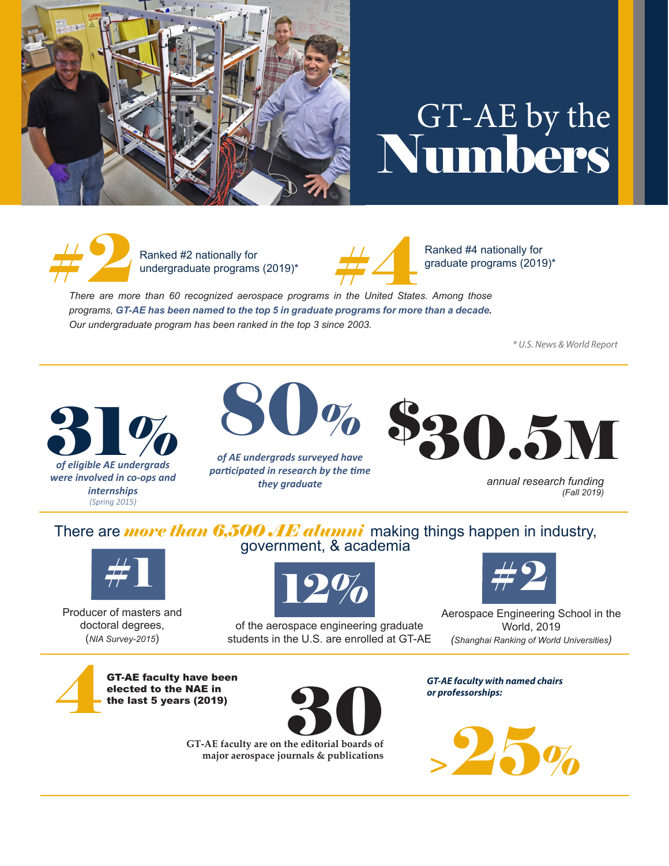

## GT-AE by the Numbers



Ranked #2 nationally for undergraduate programs (2019)\*



Ranked #4 nationally for graduate programs (2019)\*

**There are more than 60 recognized aerospace programs in the United States. Among those** *programs, GT-AE has been named to the top 5 in graduate programs for more than a decade. Our undergraduate program has been ranked in the top 3 since 2003.*

*\* U.S. News & World Report*



80%

*of AE undergrads surveyed have participated in research by the time they graduate*



*annual research funding (Fall 2019)*

### There are **more than 6,500 AE alumni** making things happen in industry,<br>government, & academia



Producer of masters and doctoral degrees, (*NIA Survey-2015*)



of the aerospace engineering graduate students in the U.S. are enrolled at GT-AE



Aerospace Engineering School in the World, 2019 *(Shanghai Ranking of World Universities)*

**GT-AE faculty have been** elected to the NAE in the last 5 years (2019)



**major aerospace journals & publications** GT-AE faculty are on the editorial boards of *GT-AE faculty with named chairs or professorships:*